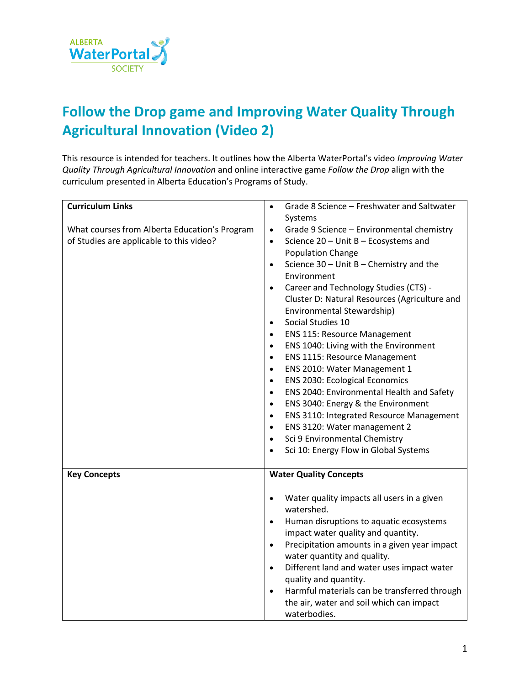

## **Follow the Drop game and Improving Water Quality Through Agricultural Innovation (Video 2)**

This resource is intended for teachers. It outlines how the Alberta WaterPortal's video *Improving Water Quality Through Agricultural Innovation* and online interactive game *Follow the Drop* align with the curriculum presented in Alberta Education's Programs of Study.

| <b>Curriculum Links</b>                       | Grade 8 Science - Freshwater and Saltwater<br>$\bullet$   |
|-----------------------------------------------|-----------------------------------------------------------|
|                                               | Systems                                                   |
| What courses from Alberta Education's Program | Grade 9 Science - Environmental chemistry<br>$\bullet$    |
| of Studies are applicable to this video?      | Science 20 - Unit B - Ecosystems and<br>$\bullet$         |
|                                               | <b>Population Change</b>                                  |
|                                               | Science $30$ – Unit B – Chemistry and the<br>$\bullet$    |
|                                               | Environment                                               |
|                                               | Career and Technology Studies (CTS) -<br>$\bullet$        |
|                                               | Cluster D: Natural Resources (Agriculture and             |
|                                               | Environmental Stewardship)                                |
|                                               | Social Studies 10<br>$\bullet$                            |
|                                               | <b>ENS 115: Resource Management</b><br>$\bullet$          |
|                                               | ENS 1040: Living with the Environment<br>$\bullet$        |
|                                               | <b>ENS 1115: Resource Management</b><br>$\bullet$         |
|                                               | ENS 2010: Water Management 1<br>$\bullet$                 |
|                                               | <b>ENS 2030: Ecological Economics</b><br>$\bullet$        |
|                                               | ENS 2040: Environmental Health and Safety<br>$\bullet$    |
|                                               | ENS 3040: Energy & the Environment<br>$\bullet$           |
|                                               | ENS 3110: Integrated Resource Management<br>$\bullet$     |
|                                               | ENS 3120: Water management 2<br>$\bullet$                 |
|                                               | Sci 9 Environmental Chemistry<br>$\bullet$                |
|                                               | Sci 10: Energy Flow in Global Systems<br>$\bullet$        |
|                                               |                                                           |
| <b>Key Concepts</b>                           | <b>Water Quality Concepts</b>                             |
|                                               |                                                           |
|                                               | Water quality impacts all users in a given<br>$\bullet$   |
|                                               | watershed.                                                |
|                                               | Human disruptions to aquatic ecosystems<br>$\bullet$      |
|                                               | impact water quality and quantity.                        |
|                                               | Precipitation amounts in a given year impact<br>$\bullet$ |
|                                               | water quantity and quality.                               |
|                                               | Different land and water uses impact water<br>$\bullet$   |
|                                               | quality and quantity.                                     |
|                                               | Harmful materials can be transferred through<br>$\bullet$ |
|                                               | the air, water and soil which can impact                  |
|                                               | waterbodies.                                              |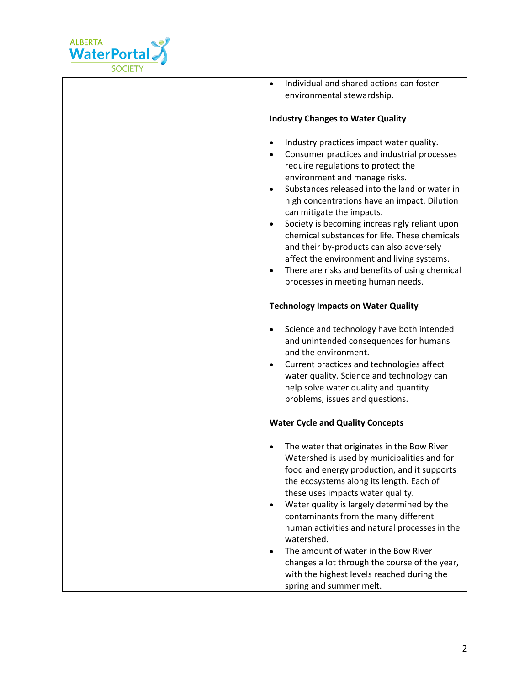

• Individual and shared actions can foster environmental stewardship.

## **Industry Changes to Water Quality**

- Industry practices impact water quality.
- Consumer practices and industrial processes require regulations to protect the environment and manage risks.
- Substances released into the land or water in high concentrations have an impact. Dilution can mitigate the impacts.
- Society is becoming increasingly reliant upon chemical substances for life. These chemicals and their by-products can also adversely affect the environment and living systems.
- There are risks and benefits of using chemical processes in meeting human needs.

## **Technology Impacts on Water Quality**

- Science and technology have both intended and unintended consequences for humans and the environment.
- Current practices and technologies affect water quality. Science and technology can help solve water quality and quantity problems, issues and questions.

## **Water Cycle and Quality Concepts**

- The water that originates in the Bow River Watershed is used by municipalities and for food and energy production, and it supports the ecosystems along its length. Each of these uses impacts water quality.
- Water quality is largely determined by the contaminants from the many different human activities and natural processes in the watershed.
- The amount of water in the Bow River changes a lot through the course of the year, with the highest levels reached during the spring and summer melt.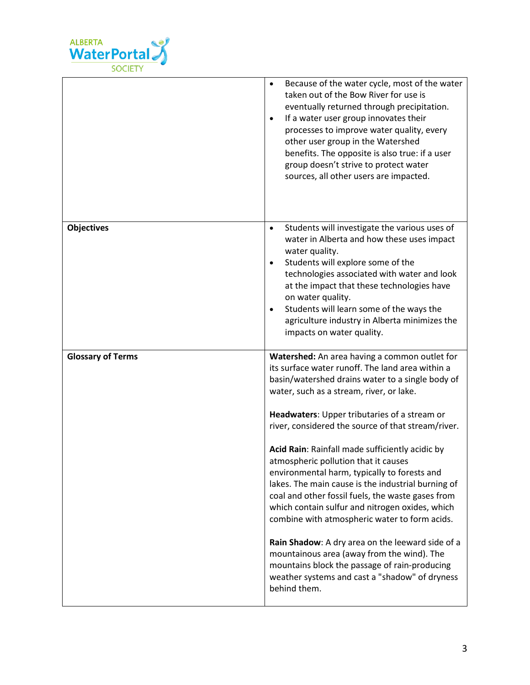

|                          | Because of the water cycle, most of the water<br>$\bullet$<br>taken out of the Bow River for use is<br>eventually returned through precipitation.<br>If a water user group innovates their<br>$\bullet$<br>processes to improve water quality, every<br>other user group in the Watershed<br>benefits. The opposite is also true: if a user<br>group doesn't strive to protect water<br>sources, all other users are impacted.                                                                                                                                                                                                                                                                                                                                                                                                                                                         |
|--------------------------|----------------------------------------------------------------------------------------------------------------------------------------------------------------------------------------------------------------------------------------------------------------------------------------------------------------------------------------------------------------------------------------------------------------------------------------------------------------------------------------------------------------------------------------------------------------------------------------------------------------------------------------------------------------------------------------------------------------------------------------------------------------------------------------------------------------------------------------------------------------------------------------|
| <b>Objectives</b>        | Students will investigate the various uses of<br>$\bullet$<br>water in Alberta and how these uses impact<br>water quality.<br>Students will explore some of the<br>$\bullet$<br>technologies associated with water and look<br>at the impact that these technologies have<br>on water quality.<br>Students will learn some of the ways the<br>$\bullet$<br>agriculture industry in Alberta minimizes the<br>impacts on water quality.                                                                                                                                                                                                                                                                                                                                                                                                                                                  |
| <b>Glossary of Terms</b> | Watershed: An area having a common outlet for<br>its surface water runoff. The land area within a<br>basin/watershed drains water to a single body of<br>water, such as a stream, river, or lake.<br>Headwaters: Upper tributaries of a stream or<br>river, considered the source of that stream/river.<br>Acid Rain: Rainfall made sufficiently acidic by<br>atmospheric pollution that it causes<br>environmental harm, typically to forests and<br>lakes. The main cause is the industrial burning of<br>coal and other fossil fuels, the waste gases from<br>which contain sulfur and nitrogen oxides, which<br>combine with atmospheric water to form acids.<br>Rain Shadow: A dry area on the leeward side of a<br>mountainous area (away from the wind). The<br>mountains block the passage of rain-producing<br>weather systems and cast a "shadow" of dryness<br>behind them. |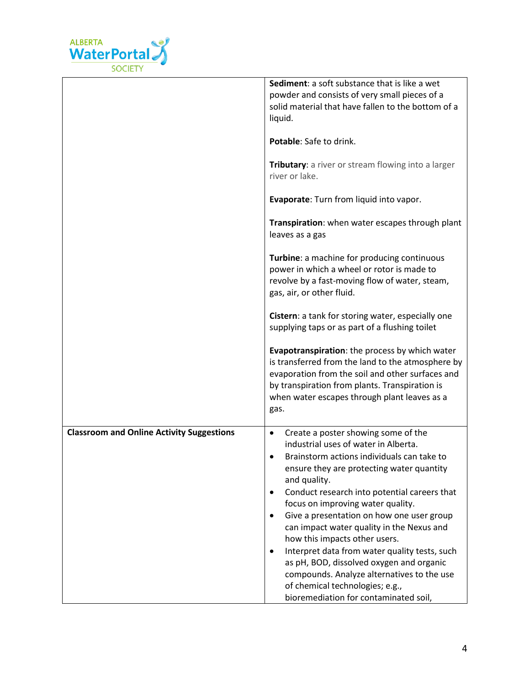

|                                                  | Sediment: a soft substance that is like a wet<br>powder and consists of very small pieces of a<br>solid material that have fallen to the bottom of a<br>liquid.                                                                                                                                                                                                                                                                                                                                                                                                                                                                                                                   |
|--------------------------------------------------|-----------------------------------------------------------------------------------------------------------------------------------------------------------------------------------------------------------------------------------------------------------------------------------------------------------------------------------------------------------------------------------------------------------------------------------------------------------------------------------------------------------------------------------------------------------------------------------------------------------------------------------------------------------------------------------|
|                                                  | Potable: Safe to drink.                                                                                                                                                                                                                                                                                                                                                                                                                                                                                                                                                                                                                                                           |
|                                                  | Tributary: a river or stream flowing into a larger<br>river or lake.                                                                                                                                                                                                                                                                                                                                                                                                                                                                                                                                                                                                              |
|                                                  | Evaporate: Turn from liquid into vapor.                                                                                                                                                                                                                                                                                                                                                                                                                                                                                                                                                                                                                                           |
|                                                  | Transpiration: when water escapes through plant<br>leaves as a gas                                                                                                                                                                                                                                                                                                                                                                                                                                                                                                                                                                                                                |
|                                                  | Turbine: a machine for producing continuous<br>power in which a wheel or rotor is made to<br>revolve by a fast-moving flow of water, steam,<br>gas, air, or other fluid.                                                                                                                                                                                                                                                                                                                                                                                                                                                                                                          |
|                                                  | Cistern: a tank for storing water, especially one<br>supplying taps or as part of a flushing toilet                                                                                                                                                                                                                                                                                                                                                                                                                                                                                                                                                                               |
|                                                  | Evapotranspiration: the process by which water<br>is transferred from the land to the atmosphere by<br>evaporation from the soil and other surfaces and<br>by transpiration from plants. Transpiration is<br>when water escapes through plant leaves as a<br>gas.                                                                                                                                                                                                                                                                                                                                                                                                                 |
| <b>Classroom and Online Activity Suggestions</b> | Create a poster showing some of the<br>$\bullet$<br>industrial uses of water in Alberta.<br>Brainstorm actions individuals can take to<br>ensure they are protecting water quantity<br>and quality.<br>Conduct research into potential careers that<br>$\bullet$<br>focus on improving water quality.<br>Give a presentation on how one user group<br>$\bullet$<br>can impact water quality in the Nexus and<br>how this impacts other users.<br>Interpret data from water quality tests, such<br>$\bullet$<br>as pH, BOD, dissolved oxygen and organic<br>compounds. Analyze alternatives to the use<br>of chemical technologies; e.g.,<br>bioremediation for contaminated soil, |